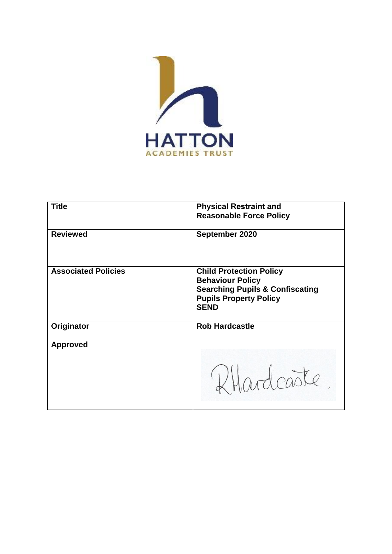

| <b>Title</b>               | <b>Physical Restraint and</b><br><b>Reasonable Force Policy</b>                                                                                         |
|----------------------------|---------------------------------------------------------------------------------------------------------------------------------------------------------|
| <b>Reviewed</b>            | September 2020                                                                                                                                          |
|                            |                                                                                                                                                         |
| <b>Associated Policies</b> | <b>Child Protection Policy</b><br><b>Behaviour Policy</b><br><b>Searching Pupils &amp; Confiscating</b><br><b>Pupils Property Policy</b><br><b>SEND</b> |
| Originator                 | <b>Rob Hardcastle</b>                                                                                                                                   |
| <b>Approved</b>            | Phardcaste                                                                                                                                              |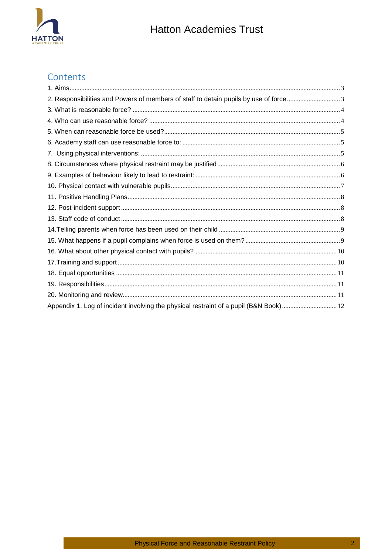

# Contents

| 2. Responsibilities and Powers of members of staff to detain pupils by use of force3  |  |
|---------------------------------------------------------------------------------------|--|
|                                                                                       |  |
|                                                                                       |  |
|                                                                                       |  |
|                                                                                       |  |
|                                                                                       |  |
|                                                                                       |  |
|                                                                                       |  |
|                                                                                       |  |
|                                                                                       |  |
|                                                                                       |  |
|                                                                                       |  |
|                                                                                       |  |
|                                                                                       |  |
|                                                                                       |  |
|                                                                                       |  |
|                                                                                       |  |
|                                                                                       |  |
|                                                                                       |  |
| Appendix 1. Log of incident involving the physical restraint of a pupil (B&N Book) 12 |  |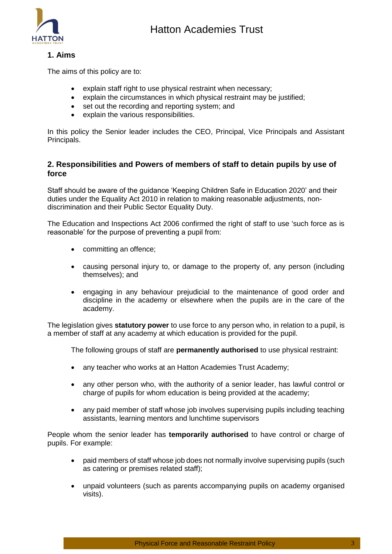

# <span id="page-2-0"></span>**1. Aims**

The aims of this policy are to:

- explain staff right to use physical restraint when necessary;
- explain the circumstances in which physical restraint may be justified;
- set out the recording and reporting system; and
- explain the various responsibilities.

<span id="page-2-1"></span>In this policy the Senior leader includes the CEO, Principal, Vice Principals and Assistant Principals.

# **2. Responsibilities and Powers of members of staff to detain pupils by use of force**

Staff should be aware of the guidance 'Keeping Children Safe in Education 2020' and their duties under the Equality Act 2010 in relation to making reasonable adjustments, nondiscrimination and their Public Sector Equality Duty.

The Education and Inspections Act 2006 confirmed the right of staff to use 'such force as is reasonable' for the purpose of preventing a pupil from:

- committing an offence;
- causing personal injury to, or damage to the property of, any person (including themselves); and
- engaging in any behaviour prejudicial to the maintenance of good order and discipline in the academy or elsewhere when the pupils are in the care of the academy.

The legislation gives **statutory power** to use force to any person who, in relation to a pupil, is a member of staff at any academy at which education is provided for the pupil.

The following groups of staff are **permanently authorised** to use physical restraint:

- any teacher who works at an Hatton Academies Trust Academy;
- any other person who, with the authority of a senior leader, has lawful control or charge of pupils for whom education is being provided at the academy;
- any paid member of staff whose job involves supervising pupils including teaching assistants, learning mentors and lunchtime supervisors

People whom the senior leader has **temporarily authorised** to have control or charge of pupils. For example:

- paid members of staff whose job does not normally involve supervising pupils (such as catering or premises related staff);
- unpaid volunteers (such as parents accompanying pupils on academy organised visits).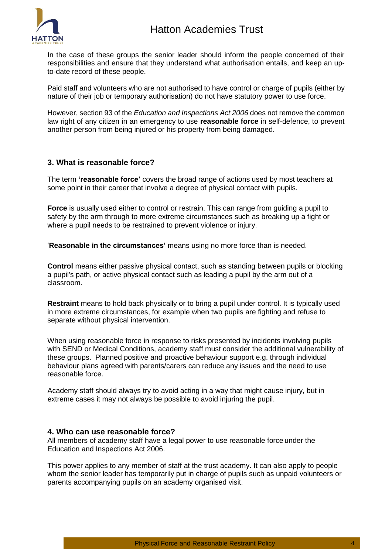

In the case of these groups the senior leader should inform the people concerned of their responsibilities and ensure that they understand what authorisation entails, and keep an upto-date record of these people.

Paid staff and volunteers who are not authorised to have control or charge of pupils (either by nature of their job or temporary authorisation) do not have statutory power to use force.

However, section 93 of the *Education and Inspections Act 2006* does not remove the common law right of any citizen in an emergency to use **reasonable force** in self-defence, to prevent another person from being injured or his property from being damaged.

#### <span id="page-3-0"></span>**3. What is reasonable force?**

The term **'reasonable force'** covers the broad range of actions used by most teachers at some point in their career that involve a degree of physical contact with pupils.

**Force** is usually used either to control or restrain. This can range from guiding a pupil to safety by the arm through to more extreme circumstances such as breaking up a fight or where a pupil needs to be restrained to prevent violence or injury.

'**Reasonable in the circumstances'** means using no more force than is needed.

**Control** means either passive physical contact, such as standing between pupils or blocking a pupil's path, or active physical contact such as leading a pupil by the arm out of a classroom.

**Restraint** means to hold back physically or to bring a pupil under control. It is typically used in more extreme circumstances, for example when two pupils are fighting and refuse to separate without physical intervention.

When using reasonable force in response to risks presented by incidents involving pupils with SEND or Medical Conditions, academy staff must consider the additional vulnerability of these groups. Planned positive and proactive behaviour support e.g. through individual behaviour plans agreed with parents/carers can reduce any issues and the need to use reasonable force.

Academy staff should always try to avoid acting in a way that might cause injury, but in extreme cases it may not always be possible to avoid injuring the pupil.

#### <span id="page-3-1"></span>**4. Who can use reasonable force?**

All members of academy staff have a legal power to use reasonable force under the Education and Inspections Act 2006.

This power applies to any member of staff at the trust academy. It can also apply to people whom the senior leader has temporarily put in charge of pupils such as unpaid volunteers or parents accompanying pupils on an academy organised visit.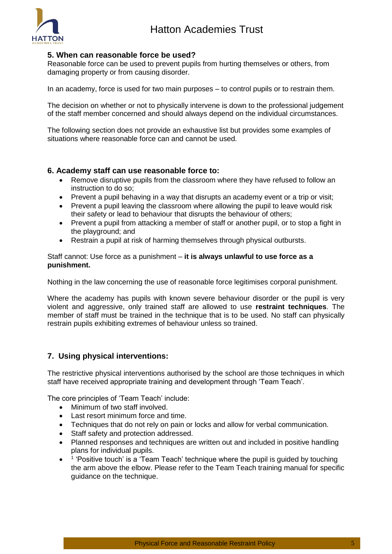

# <span id="page-4-0"></span>**5. When can reasonable force be used?**

Reasonable force can be used to prevent pupils from hurting themselves or others, from damaging property or from causing disorder.

In an academy, force is used for two main purposes – to control pupils or to restrain them.

The decision on whether or not to physically intervene is down to the professional judgement of the staff member concerned and should always depend on the individual circumstances.

The following section does not provide an exhaustive list but provides some examples of situations where reasonable force can and cannot be used.

#### <span id="page-4-1"></span>**6. Academy staff can use reasonable force to:**

- Remove disruptive pupils from the classroom where they have refused to follow an instruction to do so;
- Prevent a pupil behaving in a way that disrupts an academy event or a trip or visit;
- Prevent a pupil leaving the classroom where allowing the pupil to leave would risk their safety or lead to behaviour that disrupts the behaviour of others;
- Prevent a pupil from attacking a member of staff or another pupil, or to stop a fight in the playground; and
- Restrain a pupil at risk of harming themselves through physical outbursts.

Staff cannot: Use force as a punishment – **it is always unlawful to use force as a punishment.** 

Nothing in the law concerning the use of reasonable force legitimises corporal punishment.

Where the academy has pupils with known severe behaviour disorder or the pupil is very violent and aggressive, only trained staff are allowed to use **restraint techniques**. The member of staff must be trained in the technique that is to be used. No staff can physically restrain pupils exhibiting extremes of behaviour unless so trained.

# <span id="page-4-2"></span>**7. Using physical interventions:**

The restrictive physical interventions authorised by the school are those techniques in which staff have received appropriate training and development through 'Team Teach'.

The core principles of 'Team Teach' include:

- Minimum of two staff involved.
- Last resort minimum force and time.
- Techniques that do not rely on pain or locks and allow for verbal communication.
- Staff safety and protection addressed.
- Planned responses and techniques are written out and included in positive handling plans for individual pupils.
- $\bullet$ <sup>1</sup> 'Positive touch' is a 'Team Teach' technique where the pupil is guided by touching the arm above the elbow. Please refer to the Team Teach training manual for specific guidance on the technique.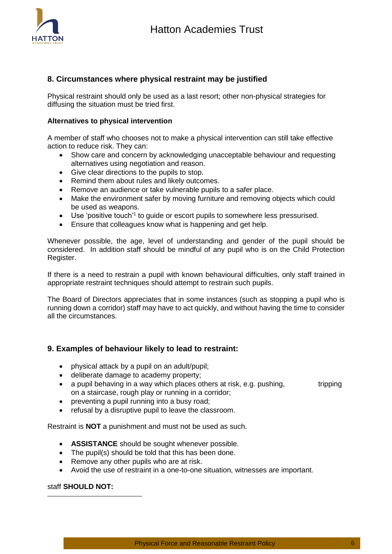

# <span id="page-5-0"></span>**8. Circumstances where physical restraint may be justified**

Physical restraint should only be used as a last resort; other non-physical strategies for diffusing the situation must be tried first.

#### **Alternatives to physical intervention**

A member of staff who chooses not to make a physical intervention can still take effective action to reduce risk. They can:

- Show care and concern by acknowledging unacceptable behaviour and requesting alternatives using negotiation and reason.
- Give clear directions to the pupils to stop.
- Remind them about rules and likely outcomes.
- Remove an audience or take vulnerable pupils to a safer place.
- Make the environment safer by moving furniture and removing objects which could be used as weapons.
- Use 'positive touch'<sup>1</sup> to guide or escort pupils to somewhere less pressurised.
- Ensure that colleagues know what is happening and get help.

Whenever possible, the age, level of understanding and gender of the pupil should be considered. In addition staff should be mindful of any pupil who is on the Child Protection Register.

If there is a need to restrain a pupil with known behavioural difficulties, only staff trained in appropriate restraint techniques should attempt to restrain such pupils.

The Board of Directors appreciates that in some instances (such as stopping a pupil who is running down a corridor) staff may have to act quickly, and without having the time to consider all the circumstances.

# <span id="page-5-1"></span>**9. Examples of behaviour likely to lead to restraint:**

- physical attack by a pupil on an adult/pupil;
- deliberate damage to academy property;
- a pupil behaving in a way which places others at risk, e.g. pushing, tripping on a staircase, rough play or running in a corridor;
- preventing a pupil running into a busy road;
- refusal by a disruptive pupil to leave the classroom.

Restraint is **NOT** a punishment and must not be used as such.

- **ASSISTANCE** should be sought whenever possible.
- The pupil(s) should be told that this has been done.
- Remove any other pupils who are at risk.
- Avoid the use of restraint in a one-to-one situation, witnesses are important.

#### staff **SHOULD NOT:**

-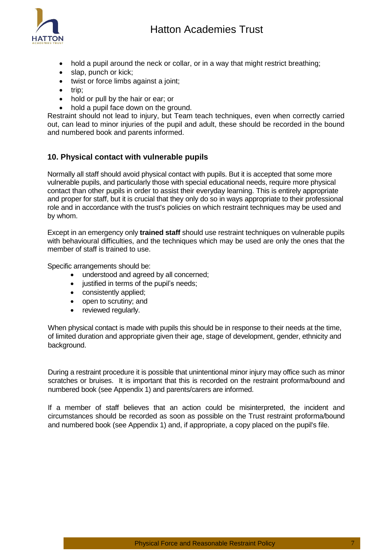

- hold a pupil around the neck or collar, or in a way that might restrict breathing;
- slap, punch or kick;
- twist or force limbs against a joint;
- $\bullet$  trip:
- hold or pull by the hair or ear; or
- hold a pupil face down on the ground.

Restraint should not lead to injury, but Team teach techniques, even when correctly carried out, can lead to minor injuries of the pupil and adult, these should be recorded in the bound and numbered book and parents informed.

# <span id="page-6-0"></span>**10. Physical contact with vulnerable pupils**

Normally all staff should avoid physical contact with pupils. But it is accepted that some more vulnerable pupils, and particularly those with special educational needs, require more physical contact than other pupils in order to assist their everyday learning. This is entirely appropriate and proper for staff, but it is crucial that they only do so in ways appropriate to their professional role and in accordance with the trust's policies on which restraint techniques may be used and by whom.

Except in an emergency only **trained staff** should use restraint techniques on vulnerable pupils with behavioural difficulties, and the techniques which may be used are only the ones that the member of staff is trained to use.

Specific arrangements should be:

- understood and agreed by all concerned;
- justified in terms of the pupil's needs;
- consistently applied;
- open to scrutiny; and
- reviewed regularly.

When physical contact is made with pupils this should be in response to their needs at the time, of limited duration and appropriate given their age, stage of development, gender, ethnicity and background.

During a restraint procedure it is possible that unintentional minor injury may office such as minor scratches or bruises. It is important that this is recorded on the restraint proforma/bound and numbered book (see Appendix 1) and parents/carers are informed.

If a member of staff believes that an action could be misinterpreted, the incident and circumstances should be recorded as soon as possible on the Trust restraint proforma/bound and numbered book (see Appendix 1) and, if appropriate, a copy placed on the pupil's file.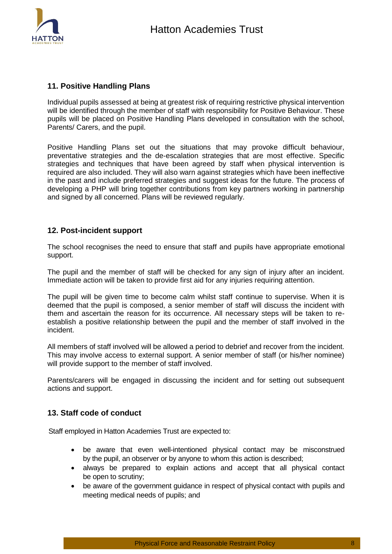

# <span id="page-7-0"></span>**11. Positive Handling Plans**

Individual pupils assessed at being at greatest risk of requiring restrictive physical intervention will be identified through the member of staff with responsibility for Positive Behaviour. These pupils will be placed on Positive Handling Plans developed in consultation with the school, Parents/ Carers, and the pupil.

Positive Handling Plans set out the situations that may provoke difficult behaviour, preventative strategies and the de-escalation strategies that are most effective. Specific strategies and techniques that have been agreed by staff when physical intervention is required are also included. They will also warn against strategies which have been ineffective in the past and include preferred strategies and suggest ideas for the future. The process of developing a PHP will bring together contributions from key partners working in partnership and signed by all concerned. Plans will be reviewed regularly.

#### <span id="page-7-1"></span>**12. Post-incident support**

The school recognises the need to ensure that staff and pupils have appropriate emotional support.

The pupil and the member of staff will be checked for any sign of injury after an incident. Immediate action will be taken to provide first aid for any injuries requiring attention.

The pupil will be given time to become calm whilst staff continue to supervise. When it is deemed that the pupil is composed, a senior member of staff will discuss the incident with them and ascertain the reason for its occurrence. All necessary steps will be taken to reestablish a positive relationship between the pupil and the member of staff involved in the incident.

All members of staff involved will be allowed a period to debrief and recover from the incident. This may involve access to external support. A senior member of staff (or his/her nominee) will provide support to the member of staff involved.

<span id="page-7-2"></span>Parents/carers will be engaged in discussing the incident and for setting out subsequent actions and support.

# **13. Staff code of conduct**

Staff employed in Hatton Academies Trust are expected to:

- be aware that even well-intentioned physical contact may be misconstrued by the pupil, an observer or by anyone to whom this action is described;
- always be prepared to explain actions and accept that all physical contact be open to scrutiny;
- be aware of the government guidance in respect of physical contact with pupils and meeting medical needs of pupils; and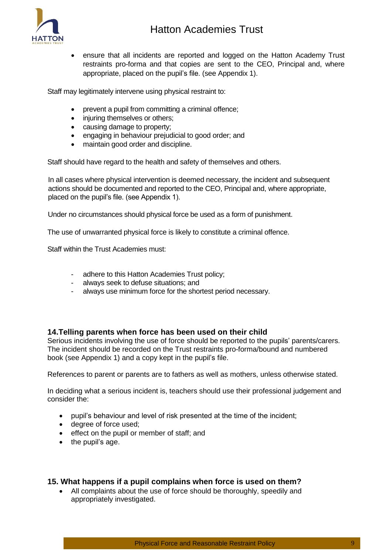

 ensure that all incidents are reported and logged on the Hatton Academy Trust restraints pro-forma and that copies are sent to the CEO, Principal and, where appropriate, placed on the pupil's file. (see Appendix 1).

Staff may legitimately intervene using physical restraint to:

- prevent a pupil from committing a criminal offence;
- injuring themselves or others;
- causing damage to property;
- engaging in behaviour prejudicial to good order; and
- maintain good order and discipline.

Staff should have regard to the health and safety of themselves and others.

In all cases where physical intervention is deemed necessary, the incident and subsequent actions should be documented and reported to the CEO, Principal and, where appropriate, placed on the pupil's file. (see Appendix 1).

Under no circumstances should physical force be used as a form of punishment.

The use of unwarranted physical force is likely to constitute a criminal offence.

Staff within the Trust Academies must:

- adhere to this Hatton Academies Trust policy;
- always seek to defuse situations; and
- always use minimum force for the shortest period necessary.

#### <span id="page-8-0"></span>**14.Telling parents when force has been used on their child**

Serious incidents involving the use of force should be reported to the pupils' parents/carers. The incident should be recorded on the Trust restraints pro-forma/bound and numbered book (see Appendix 1) and a copy kept in the pupil's file.

References to parent or parents are to fathers as well as mothers, unless otherwise stated.

In deciding what a serious incident is, teachers should use their professional judgement and consider the:

- pupil's behaviour and level of risk presented at the time of the incident;
- degree of force used:
- effect on the pupil or member of staff; and
- $\bullet$  the pupil's age.

# <span id="page-8-1"></span>**15. What happens if a pupil complains when force is used on them?**

 All complaints about the use of force should be thoroughly, speedily and appropriately investigated.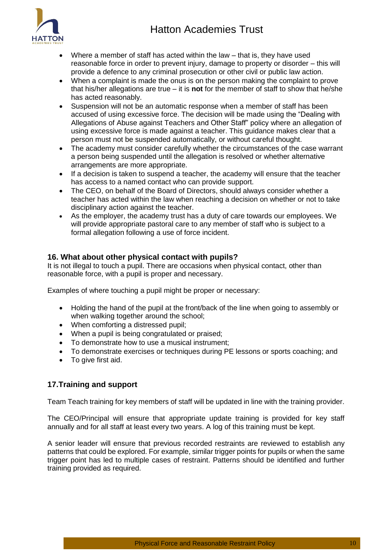# Hatton Academies Trust



- Where a member of staff has acted within the law that is, they have used reasonable force in order to prevent injury, damage to property or disorder – this will provide a defence to any criminal prosecution or other civil or public law action.
- When a complaint is made the onus is on the person making the complaint to prove that his/her allegations are true – it is **not** for the member of staff to show that he/she has acted reasonably.
- Suspension will not be an automatic response when a member of staff has been accused of using excessive force. The decision will be made using the "Dealing with Allegations of Abuse against Teachers and Other Staff" policy where an allegation of using excessive force is made against a teacher. This guidance makes clear that a person must not be suspended automatically, or without careful thought.
- The academy must consider carefully whether the circumstances of the case warrant a person being suspended until the allegation is resolved or whether alternative arrangements are more appropriate.
- If a decision is taken to suspend a teacher, the academy will ensure that the teacher has access to a named contact who can provide support.
- The CEO, on behalf of the Board of Directors, should always consider whether a teacher has acted within the law when reaching a decision on whether or not to take disciplinary action against the teacher.
- As the employer, the academy trust has a duty of care towards our employees. We will provide appropriate pastoral care to any member of staff who is subject to a formal allegation following a use of force incident.

# <span id="page-9-0"></span>**16. What about other physical contact with pupils?**

It is not illegal to touch a pupil. There are occasions when physical contact, other than reasonable force, with a pupil is proper and necessary.

Examples of where touching a pupil might be proper or necessary:

- Holding the hand of the pupil at the front/back of the line when going to assembly or when walking together around the school;
- When comforting a distressed pupil;
- When a pupil is being congratulated or praised;
- To demonstrate how to use a musical instrument:
- To demonstrate exercises or techniques during PE lessons or sports coaching; and
- To give first aid.

# <span id="page-9-1"></span>**17.Training and support**

Team Teach training for key members of staff will be updated in line with the training provider.

The CEO/Principal will ensure that appropriate update training is provided for key staff annually and for all staff at least every two years. A log of this training must be kept.

A senior leader will ensure that previous recorded restraints are reviewed to establish any patterns that could be explored. For example, similar trigger points for pupils or when the same trigger point has led to multiple cases of restraint. Patterns should be identified and further training provided as required.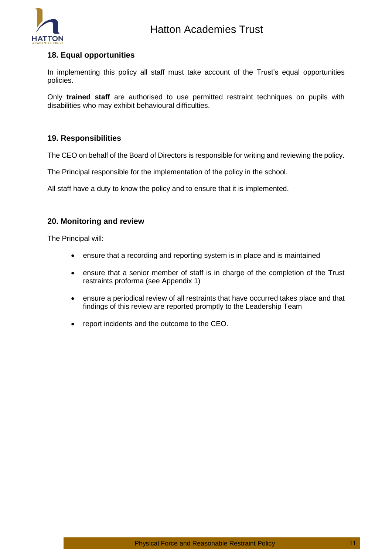

# <span id="page-10-0"></span>**18. Equal opportunities**

In implementing this policy all staff must take account of the Trust's equal opportunities policies.

Only **trained staff** are authorised to use permitted restraint techniques on pupils with disabilities who may exhibit behavioural difficulties.

# <span id="page-10-1"></span>**19. Responsibilities**

The CEO on behalf of the Board of Directors is responsible for writing and reviewing the policy.

The Principal responsible for the implementation of the policy in the school.

All staff have a duty to know the policy and to ensure that it is implemented.

# <span id="page-10-2"></span>**20. Monitoring and review**

The Principal will:

- ensure that a recording and reporting system is in place and is maintained
- ensure that a senior member of staff is in charge of the completion of the Trust restraints proforma (see Appendix 1)
- ensure a periodical review of all restraints that have occurred takes place and that findings of this review are reported promptly to the Leadership Team
- report incidents and the outcome to the CEO.